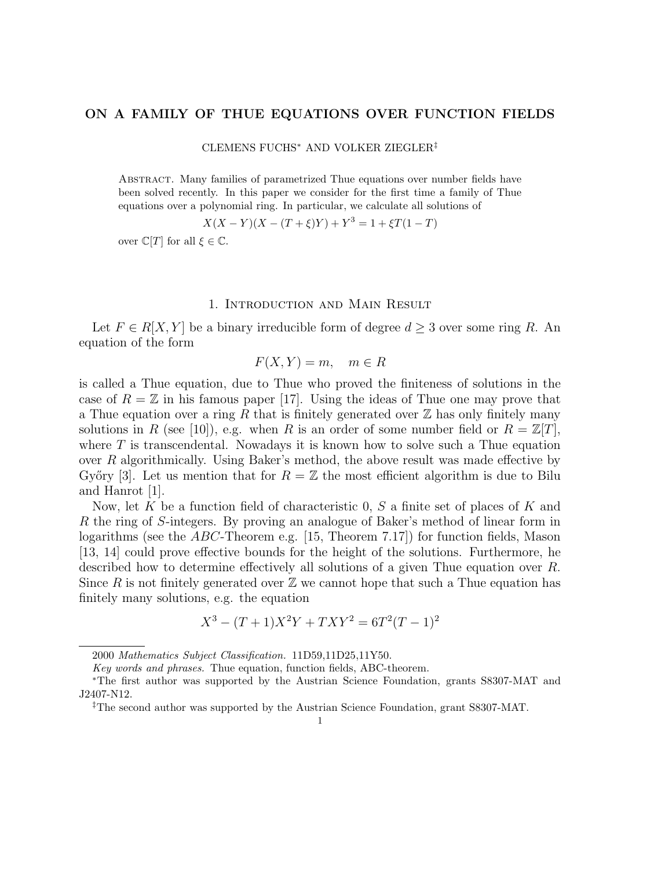# ON A FAMILY OF THUE EQUATIONS OVER FUNCTION FIELDS

#### CLEMENS FUCHS<sup>∗</sup> AND VOLKER ZIEGLER‡

Abstract. Many families of parametrized Thue equations over number fields have been solved recently. In this paper we consider for the first time a family of Thue equations over a polynomial ring. In particular, we calculate all solutions of

$$
X(X - Y)(X - (T + \xi)Y) + Y^3 = 1 + \xi T(1 - T)
$$

over  $\mathbb{C}[T]$  for all  $\xi \in \mathbb{C}$ .

### 1. Introduction and Main Result

Let  $F \in R[X, Y]$  be a binary irreducible form of degree  $d \geq 3$  over some ring R. An equation of the form

$$
F(X,Y) = m, \quad m \in R
$$

is called a Thue equation, due to Thue who proved the finiteness of solutions in the case of  $R = \mathbb{Z}$  in his famous paper [17]. Using the ideas of Thue one may prove that a Thue equation over a ring R that is finitely generated over  $\mathbb Z$  has only finitely many solutions in R (see [10]), e.g. when R is an order of some number field or  $R = \mathbb{Z}[T]$ , where  $T$  is transcendental. Nowadays it is known how to solve such a Thue equation over R algorithmically. Using Baker's method, the above result was made effective by Győry [3]. Let us mention that for  $R = \mathbb{Z}$  the most efficient algorithm is due to Bilu and Hanrot [1].

Now, let K be a function field of characteristic  $0, S$  a finite set of places of K and R the ring of S-integers. By proving an analogue of Baker's method of linear form in logarithms (see the ABC-Theorem e.g. [15, Theorem 7.17]) for function fields, Mason [13, 14] could prove effective bounds for the height of the solutions. Furthermore, he described how to determine effectively all solutions of a given Thue equation over R. Since R is not finitely generated over  $\mathbb Z$  we cannot hope that such a Thue equation has finitely many solutions, e.g. the equation

$$
X^3 - (T+1)X^2Y + TXY^2 = 6T^2(T-1)^2
$$

<sup>2000</sup> Mathematics Subject Classification. 11D59,11D25,11Y50.

Key words and phrases. Thue equation, function fields, ABC-theorem.

<sup>∗</sup>The first author was supported by the Austrian Science Foundation, grants S8307-MAT and J2407-N12.

<sup>‡</sup>The second author was supported by the Austrian Science Foundation, grant S8307-MAT.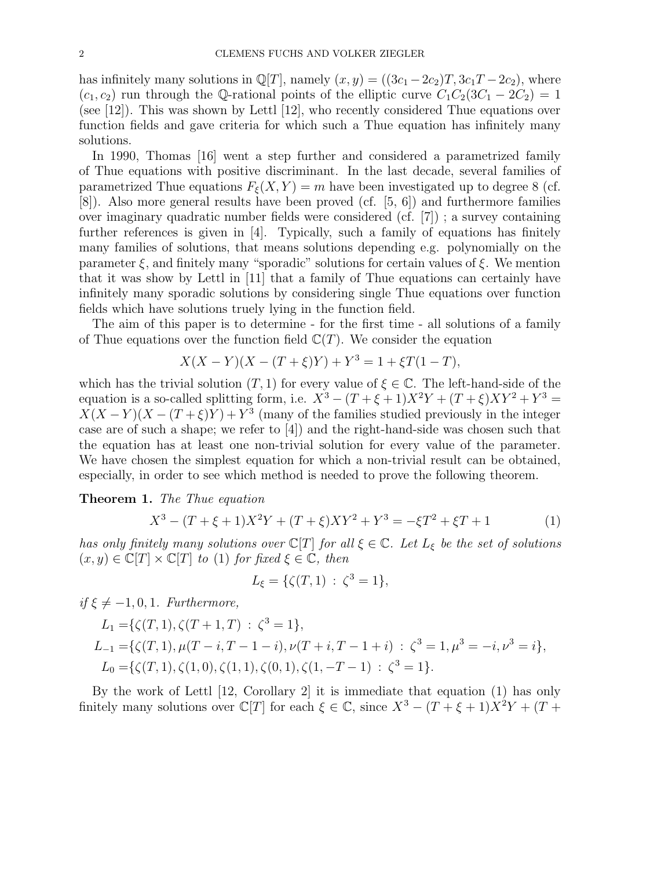has infinitely many solutions in  $\mathbb{Q}[T]$ , namely  $(x, y) = ((3c_1 - 2c_2)T, 3c_1T - 2c_2)$ , where  $(c_1, c_2)$  run through the Q-rational points of the elliptic curve  $C_1C_2(3C_1 - 2C_2) = 1$ (see [12]). This was shown by Lettl [12], who recently considered Thue equations over function fields and gave criteria for which such a Thue equation has infinitely many solutions.

In 1990, Thomas [16] went a step further and considered a parametrized family of Thue equations with positive discriminant. In the last decade, several families of parametrized Thue equations  $F_{\xi}(X, Y) = m$  have been investigated up to degree 8 (cf. [8]). Also more general results have been proved (cf. [5, 6]) and furthermore families over imaginary quadratic number fields were considered (cf. [7]) ; a survey containing further references is given in [4]. Typically, such a family of equations has finitely many families of solutions, that means solutions depending e.g. polynomially on the parameter  $\xi$ , and finitely many "sporadic" solutions for certain values of  $\xi$ . We mention that it was show by Lettl in [11] that a family of Thue equations can certainly have infinitely many sporadic solutions by considering single Thue equations over function fields which have solutions truely lying in the function field.

The aim of this paper is to determine - for the first time - all solutions of a family of Thue equations over the function field  $\mathbb{C}(T)$ . We consider the equation

$$
X(X - Y)(X - (T + \xi)Y) + Y^3 = 1 + \xi T(1 - T),
$$

which has the trivial solution  $(T, 1)$  for every value of  $\xi \in \mathbb{C}$ . The left-hand-side of the equation is a so-called splitting form, i.e.  $X^3 - (T + \xi + 1)X^2Y + (T + \xi)XY^2 + Y^3 =$  $X(X-Y)(X-(T+\xi)Y) + Y^3$  (many of the families studied previously in the integer case are of such a shape; we refer to [4]) and the right-hand-side was chosen such that the equation has at least one non-trivial solution for every value of the parameter. We have chosen the simplest equation for which a non-trivial result can be obtained, especially, in order to see which method is needed to prove the following theorem.

Theorem 1. The Thue equation

$$
X^{3} - (T + \xi + 1)X^{2}Y + (T + \xi)XY^{2} + Y^{3} = -\xi T^{2} + \xi T + 1
$$
 (1)

has only finitely many solutions over  $\mathbb{C}[T]$  for all  $\xi \in \mathbb{C}$ . Let  $L_{\xi}$  be the set of solutions  $(x, y) \in \mathbb{C}[T] \times \mathbb{C}[T]$  to (1) for fixed  $\xi \in \mathbb{C}$ , then

$$
L_{\xi} = \{ \zeta(T, 1) : \zeta^3 = 1 \},
$$

if  $\xi \neq -1, 0, 1$ . Furthermore,

$$
L_1 = \{ \zeta(T, 1), \zeta(T + 1, T) : \zeta^3 = 1 \},
$$
  
\n
$$
L_{-1} = \{ \zeta(T, 1), \mu(T - i, T - 1 - i), \nu(T + i, T - 1 + i) : \zeta^3 = 1, \mu^3 = -i, \nu^3 = i \},
$$
  
\n
$$
L_0 = \{ \zeta(T, 1), \zeta(1, 0), \zeta(1, 1), \zeta(0, 1), \zeta(1, -T - 1) : \zeta^3 = 1 \}.
$$

By the work of Lettl [12, Corollary 2] it is immediate that equation (1) has only finitely many solutions over  $\mathbb{C}[T]$  for each  $\xi \in \mathbb{C}$ , since  $X^3 - (T + \xi + 1)X^2Y + (T +$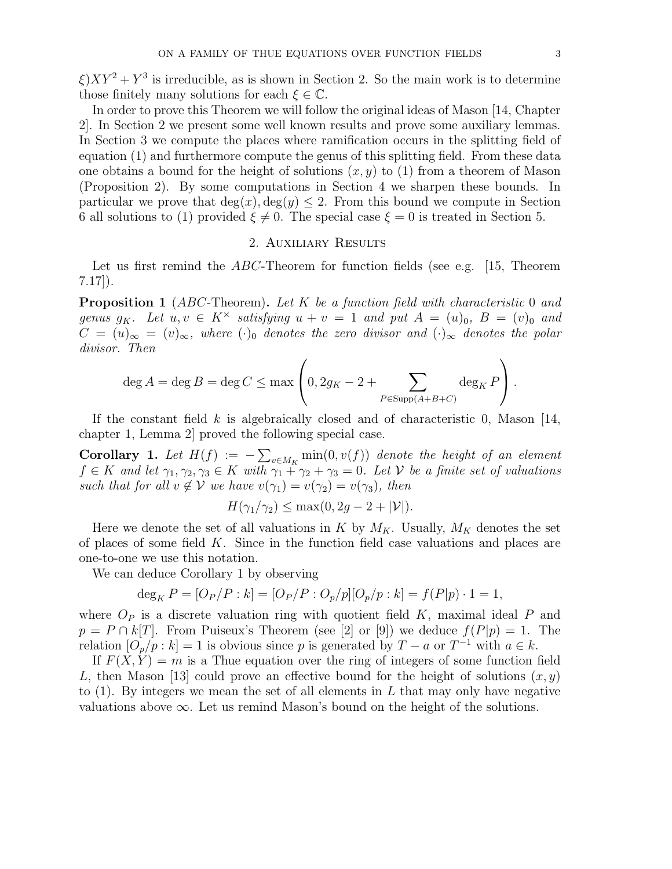$\xi$ ) $XY^2 + Y^3$  is irreducible, as is shown in Section 2. So the main work is to determine those finitely many solutions for each  $\xi \in \mathbb{C}$ .

In order to prove this Theorem we will follow the original ideas of Mason [14, Chapter 2]. In Section 2 we present some well known results and prove some auxiliary lemmas. In Section 3 we compute the places where ramification occurs in the splitting field of equation (1) and furthermore compute the genus of this splitting field. From these data one obtains a bound for the height of solutions  $(x, y)$  to (1) from a theorem of Mason (Proposition 2). By some computations in Section 4 we sharpen these bounds. In particular we prove that  $deg(x), deg(y) \leq 2$ . From this bound we compute in Section 6 all solutions to (1) provided  $\xi \neq 0$ . The special case  $\xi = 0$  is treated in Section 5.

## 2. Auxiliary Results

Let us first remind the  $ABC$ -Theorem for function fields (see e.g. [15, Theorem 7.17]).

**Proposition 1** (ABC-Theorem). Let K be a function field with characteristic 0 and genus  $g_K$ . Let  $u, v \in K^\times$  satisfying  $u + v = 1$  and put  $A = (u)_0, B = (v)_0$  and  $C = (u)_{\infty} = (v)_{\infty}$ , where  $(\cdot)_0$  denotes the zero divisor and  $(\cdot)_{\infty}$  denotes the polar divisor. Then

$$
\deg A = \deg B = \deg C \le \max \left( 0, 2g_K - 2 + \sum_{P \in \text{Supp}(A+B+C)} \deg_K P \right).
$$

If the constant field  $k$  is algebraically closed and of characteristic 0, Mason [14, chapter 1, Lemma 2] proved the following special case.

**Corollary 1.** Let  $H(f) := -\sum_{v \in M_K} \min(0, v(f))$  denote the height of an element  $f \in K$  and let  $\gamma_1, \gamma_2, \gamma_3 \in K$  with  $\gamma_1 + \gamma_2 + \gamma_3 = 0$ . Let V be a finite set of valuations such that for all  $v \notin V$  we have  $v(\gamma_1) = v(\gamma_2) = v(\gamma_3)$ , then

$$
H(\gamma_1/\gamma_2) \leq \max(0, 2g - 2 + |\mathcal{V}|).
$$

Here we denote the set of all valuations in K by  $M_K$ . Usually,  $M_K$  denotes the set of places of some field K. Since in the function field case valuations and places are one-to-one we use this notation.

We can deduce Corollary 1 by observing

$$
\deg_K P = [O_P/P : k] = [O_P/P : O_p/p][O_p/p : k] = f(P|p) \cdot 1 = 1,
$$

where  $O_P$  is a discrete valuation ring with quotient field K, maximal ideal P and  $p = P \cap k[T]$ . From Puiseux's Theorem (see [2] or [9]) we deduce  $f(P|p) = 1$ . The relation  $[O_p/p : k] = 1$  is obvious since p is generated by  $T - a$  or  $T^{-1}$  with  $a \in k$ .

If  $F(X, Y) = m$  is a Thue equation over the ring of integers of some function field L, then Mason [13] could prove an effective bound for the height of solutions  $(x, y)$ to  $(1)$ . By integers we mean the set of all elements in L that may only have negative valuations above  $\infty$ . Let us remind Mason's bound on the height of the solutions.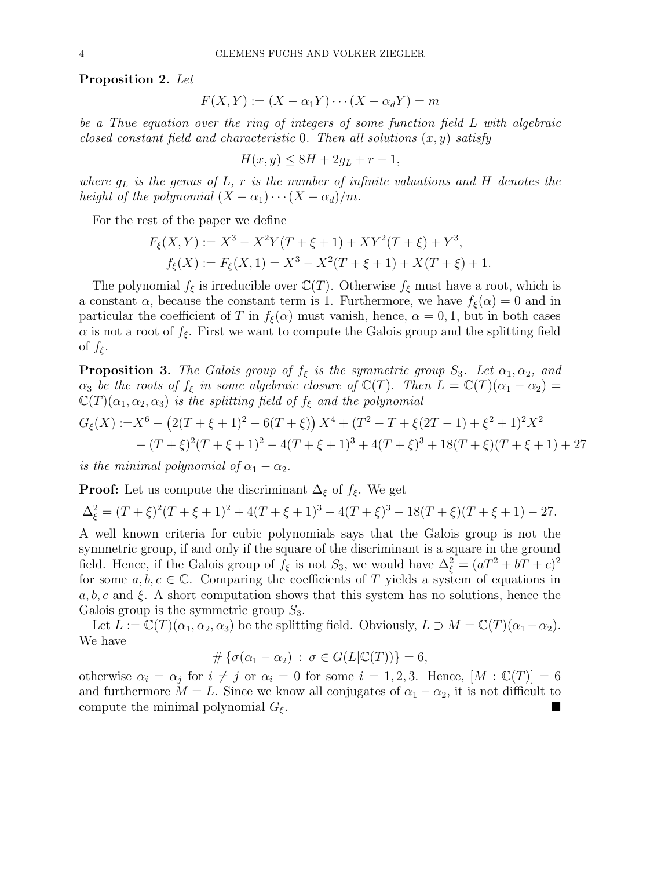Proposition 2. Let

$$
F(X,Y) := (X - \alpha_1 Y) \cdots (X - \alpha_d Y) = m
$$

be a Thue equation over the ring of integers of some function field L with algebraic closed constant field and characteristic 0. Then all solutions  $(x, y)$  satisfy

$$
H(x,y) \le 8H + 2g_L + r - 1,
$$

where  $g_L$  is the genus of  $L$ , r is the number of infinite valuations and H denotes the height of the polynomial  $(X - \alpha_1) \cdots (X - \alpha_d)/m$ .

For the rest of the paper we define

$$
F_{\xi}(X,Y) := X^3 - X^2Y(T + \xi + 1) + XY^2(T + \xi) + Y^3,
$$
  

$$
f_{\xi}(X) := F_{\xi}(X,1) = X^3 - X^2(T + \xi + 1) + X(T + \xi) + 1.
$$

The polynomial  $f_{\xi}$  is irreducible over  $\mathbb{C}(T)$ . Otherwise  $f_{\xi}$  must have a root, which is a constant  $\alpha$ , because the constant term is 1. Furthermore, we have  $f_{\xi}(\alpha) = 0$  and in particular the coefficient of T in  $f_{\xi}(\alpha)$  must vanish, hence,  $\alpha = 0, 1$ , but in both cases  $\alpha$  is not a root of  $f_{\xi}$ . First we want to compute the Galois group and the splitting field of  $f_{\xi}$ .

**Proposition 3.** The Galois group of  $f_{\xi}$  is the symmetric group  $S_3$ . Let  $\alpha_1, \alpha_2,$  and  $\alpha_3$  be the roots of  $f_{\xi}$  in some algebraic closure of  $\mathbb{C}(T)$ . Then  $L = \mathbb{C}(T)(\alpha_1 - \alpha_2)$  $\mathbb{C}(T)(\alpha_1, \alpha_2, \alpha_3)$  is the splitting field of  $f_{\xi}$  and the polynomial

$$
G_{\xi}(X) := X^{6} - (2(T + \xi + 1)^{2} - 6(T + \xi)) X^{4} + (T^{2} - T + \xi(2T - 1) + \xi^{2} + 1)^{2} X^{2}
$$
  
- 
$$
(T + \xi)^{2} (T + \xi + 1)^{2} - 4(T + \xi + 1)^{3} + 4(T + \xi)^{3} + 18(T + \xi)(T + \xi + 1) + 27
$$

is the minimal polynomial of  $\alpha_1 - \alpha_2$ .

**Proof:** Let us compute the discriminant  $\Delta_{\xi}$  of  $f_{\xi}$ . We get

$$
\Delta_{\xi}^{2} = (T + \xi)^{2}(T + \xi + 1)^{2} + 4(T + \xi + 1)^{3} - 4(T + \xi)^{3} - 18(T + \xi)(T + \xi + 1) - 27.
$$

A well known criteria for cubic polynomials says that the Galois group is not the symmetric group, if and only if the square of the discriminant is a square in the ground field. Hence, if the Galois group of  $f_{\xi}$  is not  $S_3$ , we would have  $\Delta_{\xi}^2 = (aT^2 + bT + c)^2$ for some  $a, b, c \in \mathbb{C}$ . Comparing the coefficients of T yields a system of equations in  $a, b, c$  and  $\xi$ . A short computation shows that this system has no solutions, hence the Galois group is the symmetric group  $S_3$ .

Let  $L := \mathbb{C}(T)(\alpha_1, \alpha_2, \alpha_3)$  be the splitting field. Obviously,  $L \supset M = \mathbb{C}(T)(\alpha_1 - \alpha_2)$ . We have

$$
\#\left\{\sigma(\alpha_1-\alpha_2)\,:\,\sigma\in G(L|\mathbb{C}(T))\right\}=6,
$$

otherwise  $\alpha_i = \alpha_j$  for  $i \neq j$  or  $\alpha_i = 0$  for some  $i = 1, 2, 3$ . Hence,  $[M : \mathbb{C}(T)] = 6$ and furthermore  $M = L$ . Since we know all conjugates of  $\alpha_1 - \alpha_2$ , it is not difficult to compute the minimal polynomial  $G_{\xi}$ .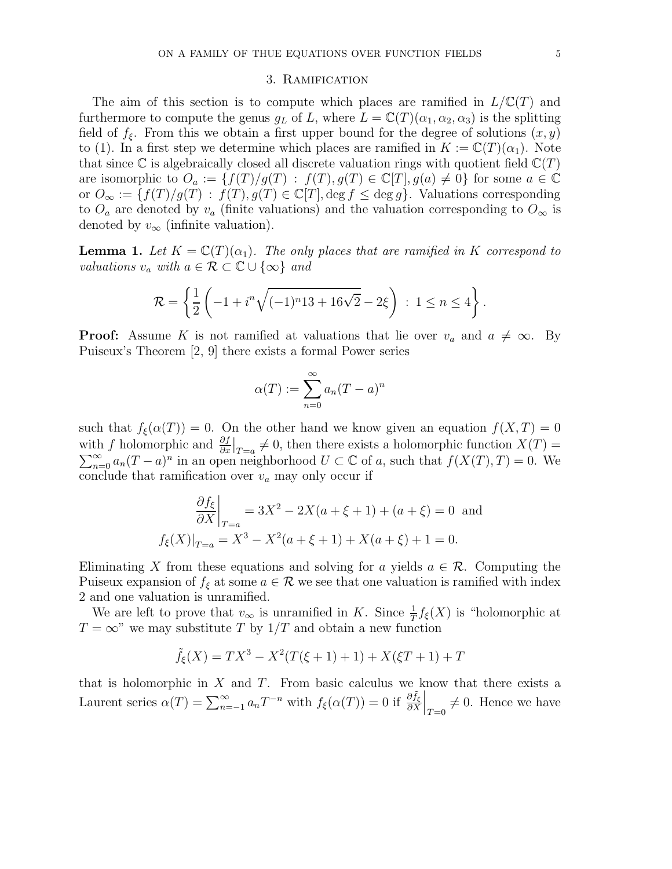### 3. Ramification

The aim of this section is to compute which places are ramified in  $L/\mathbb{C}(T)$  and furthermore to compute the genus  $g_L$  of L, where  $L = \mathbb{C}(T)(\alpha_1, \alpha_2, \alpha_3)$  is the splitting field of  $f_{\xi}$ . From this we obtain a first upper bound for the degree of solutions  $(x, y)$ to (1). In a first step we determine which places are ramified in  $K := \mathbb{C}(T)(\alpha_1)$ . Note that since  $\mathbb C$  is algebraically closed all discrete valuation rings with quotient field  $\mathbb C(T)$ are isomorphic to  $O_a := \{f(T)/g(T) : f(T), g(T) \in \mathbb{C}[T], g(a) \neq 0\}$  for some  $a \in \mathbb{C}$ or  $O_{\infty} := \{f(T)/g(T) : f(T), g(T) \in \mathbb{C}[T], \deg f \leq \deg g\}.$  Valuations corresponding to  $O_a$  are denoted by  $v_a$  (finite valuations) and the valuation corresponding to  $O_\infty$  is denoted by  $v_{\infty}$  (infinite valuation).

**Lemma 1.** Let  $K = \mathbb{C}(T)(\alpha_1)$ . The only places that are ramified in K correspond to valuations  $v_a$  with  $a \in \mathcal{R} \subset \mathbb{C} \cup \{\infty\}$  and

$$
\mathcal{R} = \left\{ \frac{1}{2} \left( -1 + i^n \sqrt{(-1)^n 13 + 16\sqrt{2}} - 2\xi \right) : 1 \le n \le 4 \right\}.
$$

**Proof:** Assume K is not ramified at valuations that lie over  $v_a$  and  $a \neq \infty$ . By Puiseux's Theorem [2, 9] there exists a formal Power series

$$
\alpha(T) := \sum_{n=0}^{\infty} a_n (T - a)^n
$$

such that  $f_{\xi}(\alpha(T)) = 0$ . On the other hand we know given an equation  $f(X,T) = 0$ with f holomorphic and  $\frac{\partial f}{\partial x}\big|_{T=a} \neq 0$ , then there exists a holomorphic function  $X(T) = \sum_{n=0}^{\infty} a_n (T-a)^n$  in an open neighborhood  $U \subset \mathbb{C}$  of a, such that  $f(X(T), T) = 0$ . We conclude that ramification over  $v_a$  may only occur if

$$
\frac{\partial f_{\xi}}{\partial X}\Big|_{T=a} = 3X^2 - 2X(a+\xi+1) + (a+\xi) = 0 \text{ and}
$$
  

$$
f_{\xi}(X)\Big|_{T=a} = X^3 - X^2(a+\xi+1) + X(a+\xi) + 1 = 0.
$$

Eliminating X from these equations and solving for a yields  $a \in \mathcal{R}$ . Computing the Puiseux expansion of  $f_{\xi}$  at some  $a \in \mathcal{R}$  we see that one valuation is ramified with index 2 and one valuation is unramified.

We are left to prove that  $v_{\infty}$  is unramified in K. Since  $\frac{1}{T}f_{\xi}(X)$  is "holomorphic at  $T = \infty$ " we may substitute T by  $1/T$  and obtain a new function

$$
\tilde{f}_{\xi}(X) = TX^3 - X^2(T(\xi + 1) + 1) + X(\xi T + 1) + T
$$

that is holomorphic in  $X$  and  $T$ . From basic calculus we know that there exists a Laurent series  $\alpha(T) = \sum_{n=-1}^{\infty} a_n T^{-n}$  with  $f_{\xi}(\alpha(T)) = 0$  if  $\frac{\partial \tilde{f}_{\xi}}{\partial X}\Big|_{T=0} \neq 0$ . Hence we have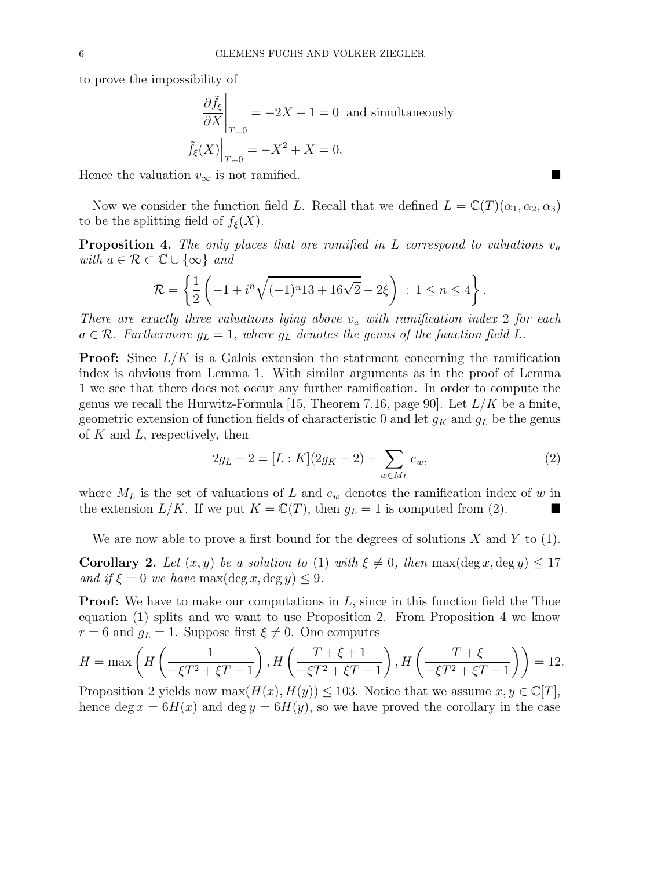to prove the impossibility of

$$
\frac{\partial \tilde{f}_{\xi}}{\partial X}\Big|_{T=0} = -2X + 1 = 0 \text{ and simultaneously}
$$

$$
\tilde{f}_{\xi}(X)\Big|_{T=0} = -X^2 + X = 0.
$$

Hence the valuation  $v_{\infty}$  is not ramified.

Now we consider the function field L. Recall that we defined  $L = \mathbb{C}(T)(\alpha_1, \alpha_2, \alpha_3)$ to be the splitting field of  $f_{\xi}(X)$ .

**Proposition 4.** The only places that are ramified in L correspond to valuations  $v_a$ with  $a \in \mathcal{R} \subset \mathbb{C} \cup \{\infty\}$  and

$$
\mathcal{R} = \left\{ \frac{1}{2} \left( -1 + i^n \sqrt{(-1)^n 13 + 16\sqrt{2}} - 2\xi \right) : 1 \le n \le 4 \right\}.
$$

There are exactly three valuations lying above  $v_a$  with ramification index 2 for each  $a \in \mathcal{R}$ . Furthermore  $g_L = 1$ , where  $g_L$  denotes the genus of the function field L.

**Proof:** Since  $L/K$  is a Galois extension the statement concerning the ramification index is obvious from Lemma 1. With similar arguments as in the proof of Lemma 1 we see that there does not occur any further ramification. In order to compute the genus we recall the Hurwitz-Formula [15, Theorem 7.16, page 90]. Let  $L/K$  be a finite, geometric extension of function fields of characteristic 0 and let  $g_K$  and  $g_L$  be the genus of  $K$  and  $L$ , respectively, then

$$
2g_L - 2 = [L:K](2g_K - 2) + \sum_{w \in M_L} e_w,
$$
\n(2)

where  $M_L$  is the set of valuations of L and  $e_w$  denotes the ramification index of w in the extension  $L/K$ . If we put  $K = \mathbb{C}(T)$ , then  $g_L = 1$  is computed from (2).

We are now able to prove a first bound for the degrees of solutions  $X$  and  $Y$  to (1).

**Corollary 2.** Let  $(x, y)$  be a solution to (1) with  $\xi \neq 0$ , then max(deg x, deg y)  $\leq 17$ and if  $\xi = 0$  we have max(deg x, deg y)  $\leq 9$ .

**Proof:** We have to make our computations in  $L$ , since in this function field the Thue equation (1) splits and we want to use Proposition 2. From Proposition 4 we know  $r = 6$  and  $g_L = 1$ . Suppose first  $\xi \neq 0$ . One computes

$$
H = \max\left(H\left(\frac{1}{-\xi T^2 + \xi T - 1}\right), H\left(\frac{T + \xi + 1}{-\xi T^2 + \xi T - 1}\right), H\left(\frac{T + \xi}{-\xi T^2 + \xi T - 1}\right)\right) = 12.
$$

Proposition 2 yields now max $(H(x), H(y)) \leq 103$ . Notice that we assume  $x, y \in \mathbb{C}[T]$ , hence deg  $x = 6H(x)$  and deg  $y = 6H(y)$ , so we have proved the corollary in the case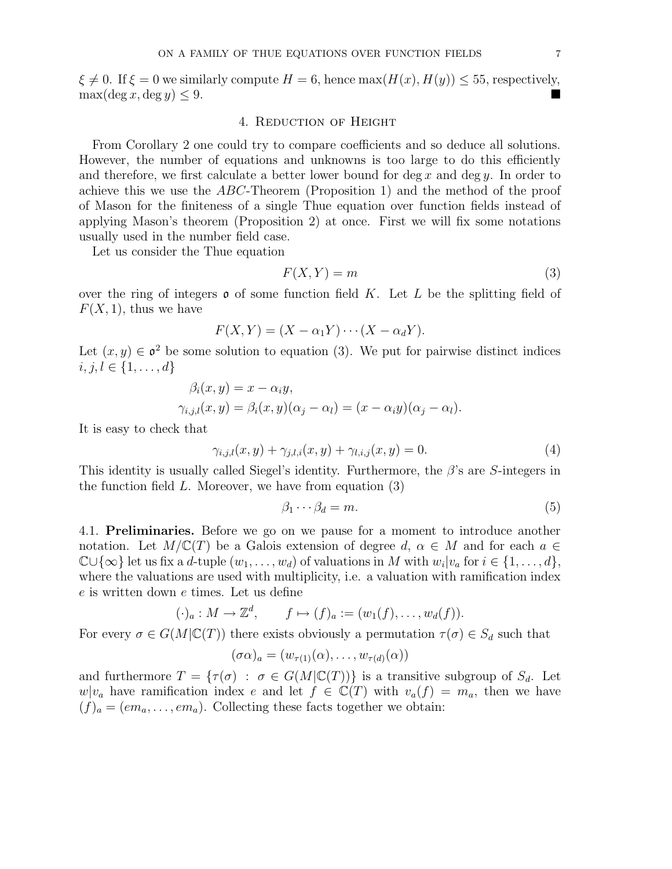$\xi \neq 0$ . If  $\xi = 0$  we similarly compute  $H = 6$ , hence  $\max(H(x), H(y)) \le 55$ , respectively,  $\lim_{x \to 0} f(\log x) \le 9$  $\max(\deg x, \deg y) \leq 9.$ 

### 4. Reduction of Height

From Corollary 2 one could try to compare coefficients and so deduce all solutions. However, the number of equations and unknowns is too large to do this efficiently and therefore, we first calculate a better lower bound for  $\deg x$  and  $\deg y$ . In order to achieve this we use the ABC-Theorem (Proposition 1) and the method of the proof of Mason for the finiteness of a single Thue equation over function fields instead of applying Mason's theorem (Proposition 2) at once. First we will fix some notations usually used in the number field case.

Let us consider the Thue equation

$$
F(X,Y) = m \tag{3}
$$

over the ring of integers  $\rho$  of some function field K. Let L be the splitting field of  $F(X, 1)$ , thus we have

$$
F(X,Y) = (X - \alpha_1 Y) \cdots (X - \alpha_d Y).
$$

Let  $(x, y) \in \mathfrak{o}^2$  be some solution to equation (3). We put for pairwise distinct indices  $i, j, l \in \{1, \ldots, d\}$ 

$$
\beta_i(x, y) = x - \alpha_i y, \n\gamma_{i,j,l}(x, y) = \beta_i(x, y)(\alpha_j - \alpha_l) = (x - \alpha_i y)(\alpha_j - \alpha_l).
$$

It is easy to check that

$$
\gamma_{i,j,l}(x,y) + \gamma_{j,l,i}(x,y) + \gamma_{l,i,j}(x,y) = 0.
$$
\n(4)

This identity is usually called Siegel's identity. Furthermore, the  $\beta$ 's are S-integers in the function field  $L$ . Moreover, we have from equation  $(3)$ 

$$
\beta_1 \cdots \beta_d = m. \tag{5}
$$

4.1. Preliminaries. Before we go on we pause for a moment to introduce another notation. Let  $M/\mathbb{C}(T)$  be a Galois extension of degree d,  $\alpha \in M$  and for each  $a \in$  $\mathbb{C}\cup\{\infty\}$  let us fix a d-tuple  $(w_1, \ldots, w_d)$  of valuations in M with  $w_i|v_a$  for  $i \in \{1, \ldots, d\}$ , where the valuations are used with multiplicity, i.e. a valuation with ramification index e is written down e times. Let us define

$$
(\cdot)_a: M \to \mathbb{Z}^d, \qquad f \mapsto (f)_a := (w_1(f), \ldots, w_d(f)).
$$

For every  $\sigma \in G(M|\mathbb{C}(T))$  there exists obviously a permutation  $\tau(\sigma) \in S_d$  such that

$$
(\sigma\alpha)_a = (w_{\tau(1)}(\alpha), \ldots, w_{\tau(d)}(\alpha))
$$

and furthermore  $T = {\tau(\sigma) : \sigma \in G(M|\mathbb{C}(T))}$  is a transitive subgroup of  $S_d$ . Let  $w|v_a$  have ramification index e and let  $f \in \mathbb{C}(T)$  with  $v_a(f) = m_a$ , then we have  $(f)_a = (em_a, \ldots, em_a)$ . Collecting these facts together we obtain: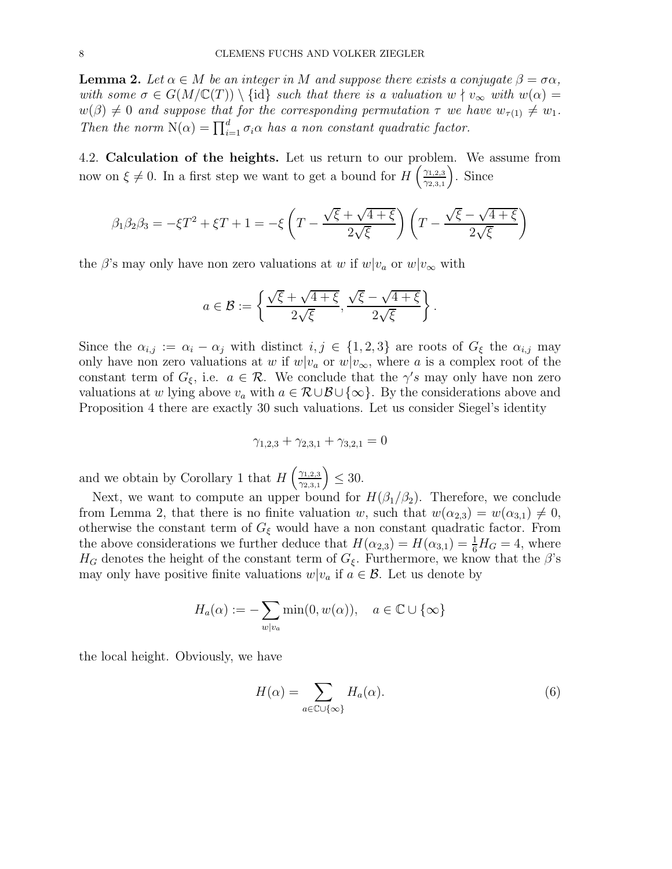**Lemma 2.** Let  $\alpha \in M$  be an integer in M and suppose there exists a conjugate  $\beta = \sigma \alpha$ , with some  $\sigma \in G(M/\mathbb{C}(T)) \setminus \{id\}$  such that there is a valuation  $w \nmid v_{\infty}$  with  $w(\alpha) =$  $w(\beta) \neq 0$  and suppose that for the corresponding permutation  $\tau$  we have  $w_{\tau(1)} \neq w_1$ . Then the norm  $N(\alpha) = \prod_{i=1}^{d} \sigma_i \alpha$  has a non constant quadratic factor.

4.2. Calculation of the heights. Let us return to our problem. We assume from now on  $\xi \neq 0$ . In a first step we want to get a bound for  $H\left(\frac{\gamma_{1,2,3}}{\gamma_{2,3,1}}\right)$  $\gamma_{2,3,1}$ . Since

$$
\beta_1 \beta_2 \beta_3 = -\xi T^2 + \xi T + 1 = -\xi \left( T - \frac{\sqrt{\xi} + \sqrt{4 + \xi}}{2\sqrt{\xi}} \right) \left( T - \frac{\sqrt{\xi} - \sqrt{4 + \xi}}{2\sqrt{\xi}} \right)
$$

the  $\beta$ 's may only have non zero valuations at w if  $w|v_a$  or  $w|v_\infty$  with

$$
a \in \mathcal{B} := \left\{ \frac{\sqrt{\xi} + \sqrt{4 + \xi}}{2\sqrt{\xi}}, \frac{\sqrt{\xi} - \sqrt{4 + \xi}}{2\sqrt{\xi}} \right\}.
$$

Since the  $\alpha_{i,j} := \alpha_i - \alpha_j$  with distinct  $i, j \in \{1, 2, 3\}$  are roots of  $G_{\xi}$  the  $\alpha_{i,j}$  may only have non zero valuations at w if  $w|v_a$  or  $w|v_\infty$ , where a is a complex root of the constant term of  $G_{\xi}$ , i.e.  $a \in \mathcal{R}$ . We conclude that the  $\gamma's$  may only have non zero valuations at w lying above  $v_a$  with  $a \in \mathcal{R} \cup \mathcal{B} \cup \{\infty\}$ . By the considerations above and Proposition 4 there are exactly 30 such valuations. Let us consider Siegel's identity

$$
\gamma_{1,2,3} + \gamma_{2,3,1} + \gamma_{3,2,1} = 0
$$

and we obtain by Corollary 1 that  $H\left(\frac{\gamma_{1,2,3}}{\gamma_{2,3,1}}\right)$  $\gamma_{2,3,1}$  $\Big) \leq 30.$ 

Next, we want to compute an upper bound for  $H(\beta_1/\beta_2)$ . Therefore, we conclude from Lemma 2, that there is no finite valuation w, such that  $w(\alpha_{2,3}) = w(\alpha_{3,1}) \neq 0$ , otherwise the constant term of  $G_{\xi}$  would have a non constant quadratic factor. From the above considerations we further deduce that  $H(\alpha_{2,3}) = H(\alpha_{3,1}) = \frac{1}{6}H_G = 4$ , where  $H_G$  denotes the height of the constant term of  $G_{\xi}$ . Furthermore, we know that the  $\beta$ 's may only have positive finite valuations  $w|v_a$  if  $a \in \mathcal{B}$ . Let us denote by

$$
H_a(\alpha) := -\sum_{w \mid v_a} \min(0, w(\alpha)), \quad a \in \mathbb{C} \cup \{\infty\}
$$

the local height. Obviously, we have

$$
H(\alpha) = \sum_{a \in \mathbb{C} \cup \{\infty\}} H_a(\alpha). \tag{6}
$$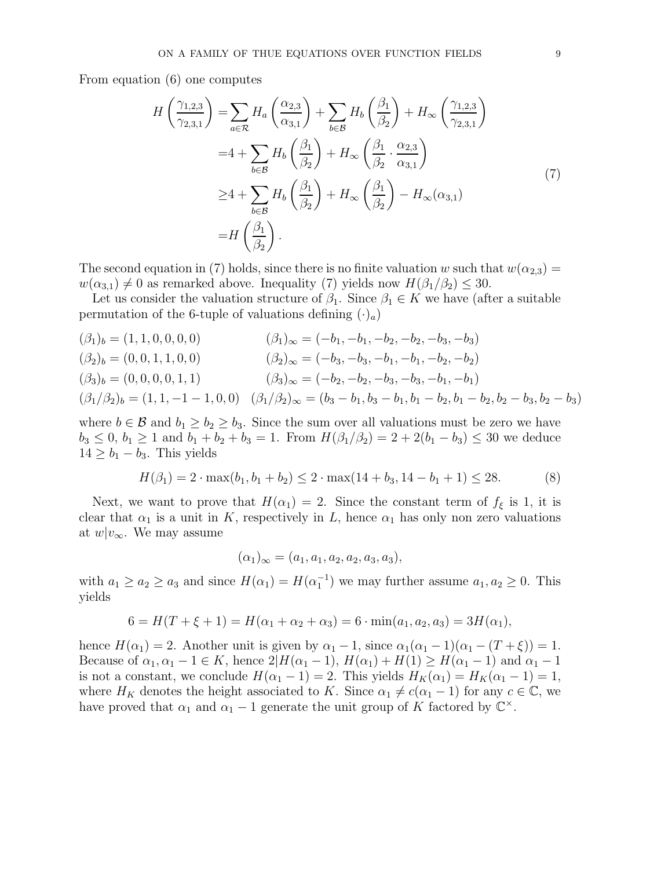From equation (6) one computes

$$
H\left(\frac{\gamma_{1,2,3}}{\gamma_{2,3,1}}\right) = \sum_{a \in \mathcal{R}} H_a \left(\frac{\alpha_{2,3}}{\alpha_{3,1}}\right) + \sum_{b \in \mathcal{B}} H_b \left(\frac{\beta_1}{\beta_2}\right) + H_\infty \left(\frac{\gamma_{1,2,3}}{\gamma_{2,3,1}}\right)
$$
  

$$
= 4 + \sum_{b \in \mathcal{B}} H_b \left(\frac{\beta_1}{\beta_2}\right) + H_\infty \left(\frac{\beta_1}{\beta_2} \cdot \frac{\alpha_{2,3}}{\alpha_{3,1}}\right)
$$
  

$$
\geq 4 + \sum_{b \in \mathcal{B}} H_b \left(\frac{\beta_1}{\beta_2}\right) + H_\infty \left(\frac{\beta_1}{\beta_2}\right) - H_\infty(\alpha_{3,1})
$$
  

$$
= H\left(\frac{\beta_1}{\beta_2}\right).
$$
 (7)

The second equation in (7) holds, since there is no finite valuation w such that  $w(\alpha_{2,3}) =$  $w(\alpha_{3,1}) \neq 0$  as remarked above. Inequality (7) yields now  $H(\beta_1/\beta_2) \leq 30$ .

Let us consider the valuation structure of  $\beta_1$ . Since  $\beta_1 \in K$  we have (after a suitable permutation of the 6-tuple of valuations defining  $(\cdot)_a$ )

$$
(\beta_1)_b = (1, 1, 0, 0, 0, 0)
$$
  
\n
$$
(\beta_2)_b = (0, 0, 1, 1, 0, 0)
$$
  
\n
$$
(\beta_3)_b = (0, 0, 0, 0, 1, 1)
$$
  
\n
$$
(\beta_4)_\infty = (-b_1, -b_1, -b_2, -b_3, -b_3)
$$
  
\n
$$
(\beta_2)_b = (0, 0, 1, 1, 0, 0)
$$
  
\n
$$
(\beta_3)_\infty = (-b_2, -b_2, -b_3, -b_1, -b_1)
$$
  
\n
$$
(\beta_1/\beta_2)_b = (1, 1, -1 - 1, 0, 0)
$$
  
\n
$$
(\beta_1/\beta_2)_\infty = (b_3 - b_1, b_3 - b_1, b_1 - b_2, b_1 - b_2, b_2 - b_3, b_2 - b_3)
$$

where  $b \in \mathcal{B}$  and  $b_1 \geq b_2 \geq b_3$ . Since the sum over all valuations must be zero we have  $b_3 \le 0$ ,  $b_1 \ge 1$  and  $b_1 + b_2 + b_3 = 1$ . From  $H(\beta_1/\beta_2) = 2 + 2(b_1 - b_3) \le 30$  we deduce  $14 \geq b_1 - b_3$ . This yields

$$
H(\beta_1) = 2 \cdot \max(b_1, b_1 + b_2) \le 2 \cdot \max(14 + b_3, 14 - b_1 + 1) \le 28. \tag{8}
$$

Next, we want to prove that  $H(\alpha_1) = 2$ . Since the constant term of  $f_{\xi}$  is 1, it is clear that  $\alpha_1$  is a unit in K, respectively in L, hence  $\alpha_1$  has only non zero valuations at  $w|v_{\infty}$ . We may assume

$$
(\alpha_1)_{\infty} = (a_1, a_1, a_2, a_2, a_3, a_3),
$$

with  $a_1 \ge a_2 \ge a_3$  and since  $H(\alpha_1) = H(\alpha_1^{-1})$  we may further assume  $a_1, a_2 \ge 0$ . This yields

$$
6 = H(T + \xi + 1) = H(\alpha_1 + \alpha_2 + \alpha_3) = 6 \cdot \min(a_1, a_2, a_3) = 3H(\alpha_1),
$$

hence  $H(\alpha_1) = 2$ . Another unit is given by  $\alpha_1 - 1$ , since  $\alpha_1(\alpha_1 - 1)(\alpha_1 - (T + \xi)) = 1$ . Because of  $\alpha_1, \alpha_1 - 1 \in K$ , hence  $2|H(\alpha_1 - 1), H(\alpha_1) + H(1) \ge H(\alpha_1 - 1)$  and  $\alpha_1 - 1$ is not a constant, we conclude  $H(\alpha_1 - 1) = 2$ . This yields  $H_K(\alpha_1) = H_K(\alpha_1 - 1) = 1$ , where  $H_K$  denotes the height associated to K. Since  $\alpha_1 \neq c(\alpha_1 - 1)$  for any  $c \in \mathbb{C}$ , we have proved that  $\alpha_1$  and  $\alpha_1 - 1$  generate the unit group of K factored by  $\mathbb{C}^{\times}$ .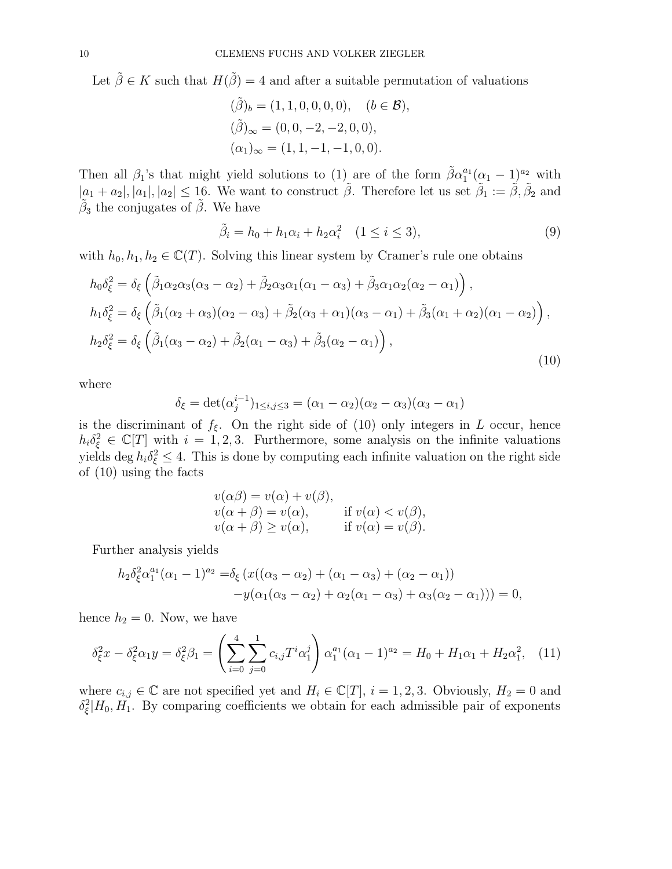Let  $\tilde{\beta} \in K$  such that  $H(\tilde{\beta}) = 4$  and after a suitable permutation of valuations

$$
(\tilde{\beta})_b = (1, 1, 0, 0, 0, 0), \quad (b \in \mathcal{B}),
$$
  
\n
$$
(\tilde{\beta})_{\infty} = (0, 0, -2, -2, 0, 0),
$$
  
\n
$$
(\alpha_1)_{\infty} = (1, 1, -1, -1, 0, 0).
$$

Then all  $\beta_1$ 's that might yield solutions to (1) are of the form  $\tilde{\beta} \alpha_1^{a_1}$  $_{1}^{a_{1}}(\alpha_{1}-1)^{a_{2}}$  with  $|a_1 + a_2|, |a_1|, |a_2| \leq 16$ . We want to construct  $\tilde{\beta}$ . Therefore let us set  $\tilde{\beta}_1 := \tilde{\beta}, \tilde{\beta}_2$  and  $\tilde{\beta}_3$  the conjugates of  $\tilde{\beta}$ . We have

$$
\tilde{\beta}_i = h_0 + h_1 \alpha_i + h_2 \alpha_i^2 \quad (1 \le i \le 3),
$$
\n(9)

with  $h_0, h_1, h_2 \in \mathbb{C}(T)$ . Solving this linear system by Cramer's rule one obtains

$$
h_0 \delta_{\xi}^2 = \delta_{\xi} \left( \tilde{\beta}_1 \alpha_2 \alpha_3 (\alpha_3 - \alpha_2) + \tilde{\beta}_2 \alpha_3 \alpha_1 (\alpha_1 - \alpha_3) + \tilde{\beta}_3 \alpha_1 \alpha_2 (\alpha_2 - \alpha_1) \right),
$$
  
\n
$$
h_1 \delta_{\xi}^2 = \delta_{\xi} \left( \tilde{\beta}_1 (\alpha_2 + \alpha_3) (\alpha_2 - \alpha_3) + \tilde{\beta}_2 (\alpha_3 + \alpha_1) (\alpha_3 - \alpha_1) + \tilde{\beta}_3 (\alpha_1 + \alpha_2) (\alpha_1 - \alpha_2) \right),
$$
  
\n
$$
h_2 \delta_{\xi}^2 = \delta_{\xi} \left( \tilde{\beta}_1 (\alpha_3 - \alpha_2) + \tilde{\beta}_2 (\alpha_1 - \alpha_3) + \tilde{\beta}_3 (\alpha_2 - \alpha_1) \right),
$$
  
\n(10)

where

$$
\delta_{\xi} = \det(\alpha_j^{i-1})_{1 \le i,j \le 3} = (\alpha_1 - \alpha_2)(\alpha_2 - \alpha_3)(\alpha_3 - \alpha_1)
$$

is the discriminant of  $f_{\xi}$ . On the right side of (10) only integers in L occur, hence  $h_i \delta_{\xi}^2 \in \mathbb{C}[T]$  with  $i = 1, 2, 3$ . Furthermore, some analysis on the infinite valuations yields deg  $h_i \delta_{\xi}^2 \leq 4$ . This is done by computing each infinite valuation on the right side of (10) using the facts

$$
v(\alpha \beta) = v(\alpha) + v(\beta),
$$
  
\n
$$
v(\alpha + \beta) = v(\alpha),
$$
 if  $v(\alpha) < v(\beta),$   
\n
$$
v(\alpha + \beta) \ge v(\alpha),
$$
 if  $v(\alpha) = v(\beta).$ 

Further analysis yields

$$
h_2 \delta_{\xi}^2 \alpha_1^{a_1} (\alpha_1 - 1)^{a_2} = \delta_{\xi} (x((\alpha_3 - \alpha_2) + (\alpha_1 - \alpha_3) + (\alpha_2 - \alpha_1)) -y(\alpha_1(\alpha_3 - \alpha_2) + \alpha_2(\alpha_1 - \alpha_3) + \alpha_3(\alpha_2 - \alpha_1))) = 0,
$$

hence  $h_2 = 0$ . Now, we have

$$
\delta_{\xi}^{2}x - \delta_{\xi}^{2}\alpha_{1}y = \delta_{\xi}^{2}\beta_{1} = \left(\sum_{i=0}^{4}\sum_{j=0}^{1}c_{i,j}T^{i}\alpha_{1}^{j}\right)\alpha_{1}^{a_{1}}(\alpha_{1}-1)^{a_{2}} = H_{0} + H_{1}\alpha_{1} + H_{2}\alpha_{1}^{2}, \quad (11)
$$

where  $c_{i,j} \in \mathbb{C}$  are not specified yet and  $H_i \in \mathbb{C}[T]$ ,  $i = 1, 2, 3$ . Obviously,  $H_2 = 0$  and  $\delta_{\xi}^2|H_0,H_1$ . By comparing coefficients we obtain for each admissible pair of exponents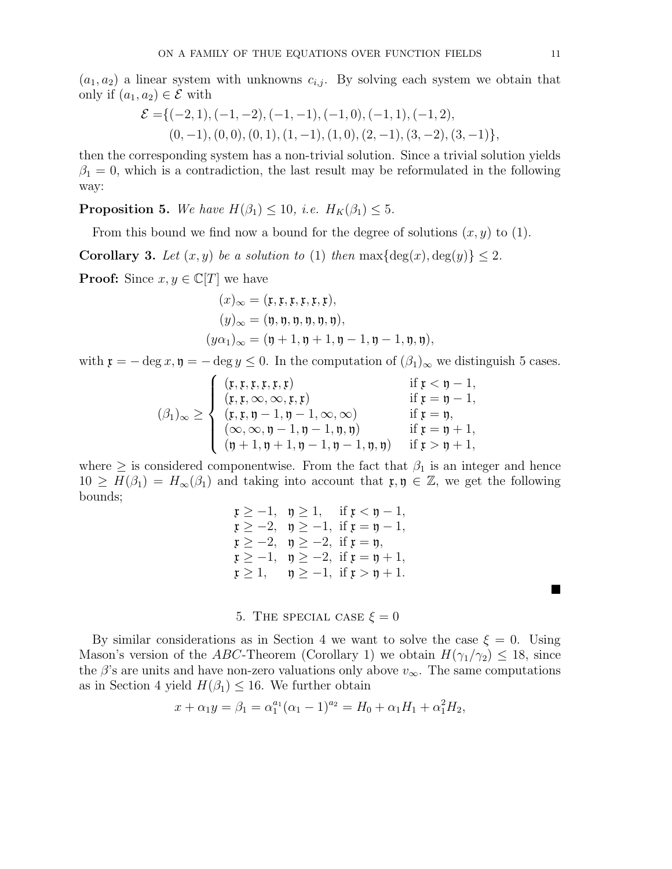$(a_1, a_2)$  a linear system with unknowns  $c_{i,j}$ . By solving each system we obtain that only if  $(a_1, a_2) \in \mathcal{E}$  with

$$
\mathcal{E} = \{(-2, 1), (-1, -2), (-1, -1), (-1, 0), (-1, 1), (-1, 2),(0, -1), (0, 0), (0, 1), (1, -1), (1, 0), (2, -1), (3, -2), (3, -1)\},\
$$

then the corresponding system has a non-trivial solution. Since a trivial solution yields  $\beta_1 = 0$ , which is a contradiction, the last result may be reformulated in the following way:

**Proposition 5.** We have  $H(\beta_1) \leq 10$ , i.e.  $H_K(\beta_1) \leq 5$ .

From this bound we find now a bound for the degree of solutions  $(x, y)$  to (1).

**Corollary 3.** Let  $(x, y)$  be a solution to (1) then  $\max{\deg(x), \deg(y)} \leq 2$ .

**Proof:** Since  $x, y \in \mathbb{C}[T]$  we have

$$
(x)_{\infty} = (\mathfrak{x}, \mathfrak{x}, \mathfrak{x}, \mathfrak{x}, \mathfrak{x}),(y)_{\infty} = (\mathfrak{y}, \mathfrak{y}, \mathfrak{y}, \mathfrak{y}, \mathfrak{y}, \mathfrak{y}),(y\alpha_1)_{\infty} = (\mathfrak{y} + 1, \mathfrak{y} + 1, \mathfrak{y} - 1, \mathfrak{y} - 1, \mathfrak{y}, \mathfrak{y}),
$$

with  $\mathfrak{x} = -\deg x, \mathfrak{y} = -\deg y \leq 0$ . In the computation of  $(\beta_1)_{\infty}$  we distinguish 5 cases.

$$
(\beta_1)_{\infty} \geq \begin{cases} (r, r, r, r, r, r) & \text{if } r < \eta - 1, \\ (r, r, \infty, \infty, r, r) & \text{if } r = \eta - 1, \\ (r, r, \eta - 1, \eta - 1, \infty, \infty) & \text{if } r = \eta, \\ (\infty, \infty, \eta - 1, \eta - 1, \eta, \eta) & \text{if } r = \eta + 1, \\ (\eta + 1, \eta + 1, \eta - 1, \eta - 1, \eta, \eta) & \text{if } r > \eta + 1, \end{cases}
$$

where  $\geq$  is considered componentwise. From the fact that  $\beta_1$  is an integer and hence  $10 \geq H(\beta_1) = H_\infty(\beta_1)$  and taking into account that  $\mathfrak{x}, \mathfrak{y} \in \mathbb{Z}$ , we get the following bounds;

$$
\begin{array}{ll}\n\mathfrak{x} \geq -1, & \mathfrak{y} \geq 1, & \text{if } \mathfrak{x} < \mathfrak{y} - 1, \\
\mathfrak{x} \geq -2, & \mathfrak{y} \geq -1, & \text{if } \mathfrak{x} = \mathfrak{y} - 1, \\
\mathfrak{x} \geq -2, & \mathfrak{y} \geq -2, & \text{if } \mathfrak{x} = \mathfrak{y}, \\
\mathfrak{x} \geq -1, & \mathfrak{y} \geq -2, & \text{if } \mathfrak{x} = \mathfrak{y} + 1, \\
\mathfrak{x} \geq 1, & \mathfrak{y} \geq -1, & \text{if } \mathfrak{x} > \mathfrak{y} + 1.\n\end{array}
$$

5. THE SPECIAL CASE  $\xi = 0$ 

By similar considerations as in Section 4 we want to solve the case  $\xi = 0$ . Using Mason's version of the ABC-Theorem (Corollary 1) we obtain  $H(\gamma_1/\gamma_2) \leq 18$ , since the  $\beta$ 's are units and have non-zero valuations only above  $v_{\infty}$ . The same computations as in Section 4 yield  $H(\beta_1) \leq 16$ . We further obtain

$$
x + \alpha_1 y = \beta_1 = \alpha_1^{a_1} (\alpha_1 - 1)^{a_2} = H_0 + \alpha_1 H_1 + \alpha_1^2 H_2,
$$

 $\blacksquare$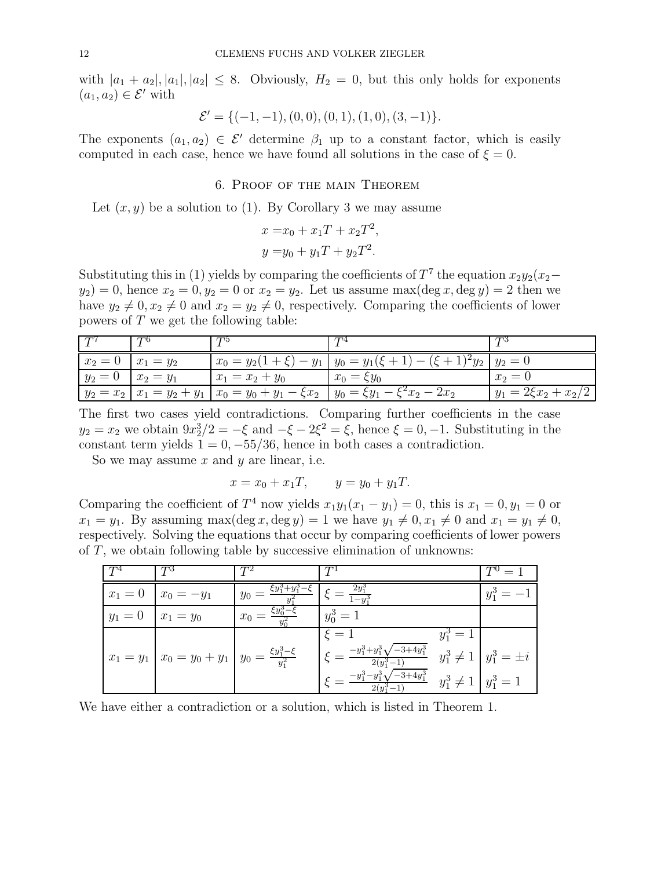with  $|a_1 + a_2|, |a_1|, |a_2| \leq 8$ . Obviously,  $H_2 = 0$ , but this only holds for exponents  $(a_1, a_2) \in \mathcal{E}'$  with

$$
\mathcal{E}' = \{(-1, -1), (0, 0), (0, 1), (1, 0), (3, -1)\}.
$$

The exponents  $(a_1, a_2) \in \mathcal{E}'$  determine  $\beta_1$  up to a constant factor, which is easily computed in each case, hence we have found all solutions in the case of  $\xi = 0$ .

#### 6. Proof of the main Theorem

Let  $(x, y)$  be a solution to (1). By Corollary 3 we may assume

$$
x = x_0 + x_1T + x_2T^2,
$$
  

$$
y = y_0 + y_1T + y_2T^2.
$$

Substituting this in (1) yields by comparing the coefficients of  $T^7$  the equation  $x_2y_2(x_2$  $y_2$ ) = 0, hence  $x_2 = 0$ ,  $y_2 = 0$  or  $x_2 = y_2$ . Let us assume max(deg x, deg y) = 2 then we have  $y_2 \neq 0, x_2 \neq 0$  and  $x_2 = y_2 \neq 0$ , respectively. Comparing the coefficients of lower powers of T we get the following table:

|                          | T D                                                        |                                                                             |                          |
|--------------------------|------------------------------------------------------------|-----------------------------------------------------------------------------|--------------------------|
| $x_2 = 0 \mid x_1 = y_2$ |                                                            | $x_0 = y_2(1+\xi) - y_1 \mid y_0 = y_1(\xi+1) - (\xi+1)^2 y_2 \mid y_2 = 0$ |                          |
| $y_2 = 0 \mid x_2 = y_1$ | $x_1 = x_2 + y_0$                                          | $x_0 = \xi y_0$                                                             | $x_2 = 0$                |
|                          | $ y_2 = x_2   x_1 = y_2 + y_1   x_0 = y_0 + y_1 - \xi x_2$ | $y_0 = \xi y_1 - \xi^2 x_2 - 2x_2$                                          | $y_1 = 2\xi x_2 + x_2/2$ |

The first two cases yield contradictions. Comparing further coefficients in the case  $y_2 = x_2$  we obtain  $9x_2^3/2 = -\xi$  and  $-\xi - 2\xi^2 = \xi$ , hence  $\xi = 0, -1$ . Substituting in the constant term yields  $1 = 0, -55/36$ , hence in both cases a contradiction.

So we may assume  $x$  and  $y$  are linear, i.e.

$$
x = x_0 + x_1T
$$
,  $y = y_0 + y_1T$ .

Comparing the coefficient of  $T^4$  now yields  $x_1y_1(x_1 - y_1) = 0$ , this is  $x_1 = 0, y_1 = 0$  or  $x_1 = y_1$ . By assuming max(deg x, deg y) = 1 we have  $y_1 \neq 0, x_1 \neq 0$  and  $x_1 = y_1 \neq 0$ , respectively. Solving the equations that occur by comparing coefficients of lower powers of T, we obtain following table by successive elimination of unknowns:

| $x_1 = 0$ | $x_0 = -y_1$                                                              | $\zeta y_1 + y_1$<br>$y_0 =$ | $=\frac{2y_1^3}{1-y_1^3}$                                      |                               |                                |
|-----------|---------------------------------------------------------------------------|------------------------------|----------------------------------------------------------------|-------------------------------|--------------------------------|
| $y_1=0$   | $x_1 = y_0$                                                               | $\xi y_0^3 - \xi$<br>$x_0 =$ | $y_0^3 = 1$                                                    |                               |                                |
|           |                                                                           |                              | $\xi = 1$                                                      | $v_1^3 = 1$                   |                                |
|           | $x_1 = y_1 \mid x_0 = y_0 + y_1 \mid y_0 = \frac{\xi y_1^3 - \xi}{y_1^2}$ |                              | $\xi = \frac{-y_1^3 + y_1^3 \sqrt{-3 + 4y_1^3}}{2(y_1^3 - 1)}$ |                               | $y_1^3 \neq 1   y_1^3 = \pm i$ |
|           |                                                                           |                              | $\mathcal{E} = \frac{-y_1^3 - y_1^3 \sqrt{-3 + 4y_1^3}}{2}$    | $y_1^3 \neq 1 \mid y_1^3 = 1$ |                                |

We have either a contradiction or a solution, which is listed in Theorem 1.